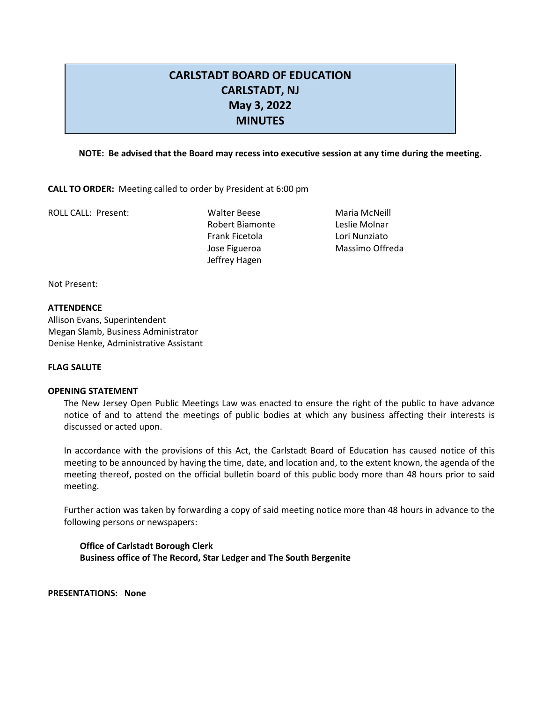# **CARLSTADT BOARD OF EDUCATION CARLSTADT, NJ May 3, 2022 MINUTES**

# **NOTE: Be advised that the Board may recess into executive session at any time during the meeting.**

**CALL TO ORDER:** Meeting called to order by President at 6:00 pm

ROLL CALL: Present: Walter Beese Maria McNeill

Robert Biamonte Leslie Molnar Frank Ficetola Lori Nunziato Jose Figueroa Massimo Offreda Jeffrey Hagen

Not Present:

#### **ATTENDENCE**

Allison Evans, Superintendent Megan Slamb, Business Administrator Denise Henke, Administrative Assistant

#### **FLAG SALUTE**

#### **OPENING STATEMENT**

The New Jersey Open Public Meetings Law was enacted to ensure the right of the public to have advance notice of and to attend the meetings of public bodies at which any business affecting their interests is discussed or acted upon.

In accordance with the provisions of this Act, the Carlstadt Board of Education has caused notice of this meeting to be announced by having the time, date, and location and, to the extent known, the agenda of the meeting thereof, posted on the official bulletin board of this public body more than 48 hours prior to said meeting.

Further action was taken by forwarding a copy of said meeting notice more than 48 hours in advance to the following persons or newspapers:

**Office of Carlstadt Borough Clerk Business office of The Record, Star Ledger and The South Bergenite**

**PRESENTATIONS: None**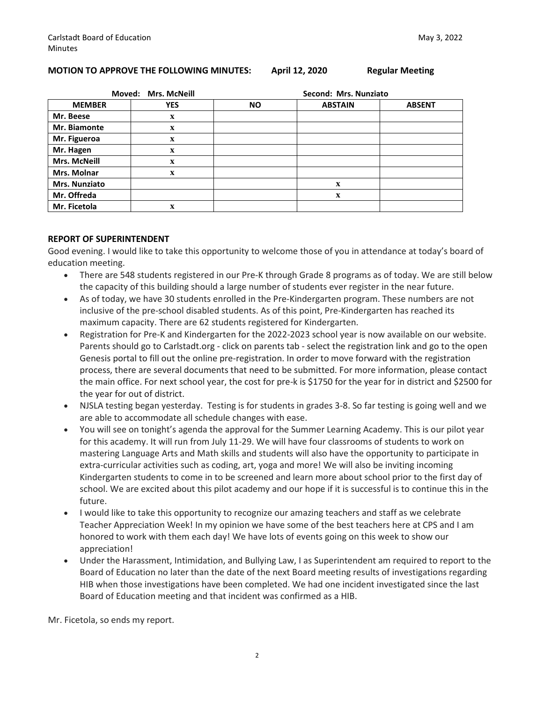#### **MOTION TO APPROVE THE FOLLOWING MINUTES: April 12, 2020 Regular Meeting**

| <b>Mrs. McNeill</b><br>Moved: |             | Second: Mrs. Nunziato |                |               |  |
|-------------------------------|-------------|-----------------------|----------------|---------------|--|
| <b>MEMBER</b>                 | <b>YES</b>  | <b>NO</b>             | <b>ABSTAIN</b> | <b>ABSENT</b> |  |
| Mr. Beese                     | $\mathbf X$ |                       |                |               |  |
| Mr. Biamonte                  | $\mathbf X$ |                       |                |               |  |
| Mr. Figueroa                  | $\mathbf x$ |                       |                |               |  |
| Mr. Hagen                     | $\mathbf x$ |                       |                |               |  |
| <b>Mrs. McNeill</b>           | $\mathbf x$ |                       |                |               |  |
| Mrs. Molnar                   | $\mathbf x$ |                       |                |               |  |
| <b>Mrs. Nunziato</b>          |             |                       | $\mathbf X$    |               |  |
| Mr. Offreda                   |             |                       | $\mathbf X$    |               |  |
| Mr. Ficetola                  | X           |                       |                |               |  |

#### **REPORT OF SUPERINTENDENT**

Good evening. I would like to take this opportunity to welcome those of you in attendance at today's board of education meeting.

- There are 548 students registered in our Pre-K through Grade 8 programs as of today. We are still below the capacity of this building should a large number of students ever register in the near future.
- As of today, we have 30 students enrolled in the Pre-Kindergarten program. These numbers are not inclusive of the pre-school disabled students. As of this point, Pre-Kindergarten has reached its maximum capacity. There are 62 students registered for Kindergarten.
- Registration for Pre-K and Kindergarten for the 2022-2023 school year is now available on our website. Parents should go to Carlstadt.org - click on parents tab - select the registration link and go to the open Genesis portal to fill out the online pre-registration. In order to move forward with the registration process, there are several documents that need to be submitted. For more information, please contact the main office. For next school year, the cost for pre-k is \$1750 for the year for in district and \$2500 for the year for out of district.
- NJSLA testing began yesterday. Testing is for students in grades 3-8. So far testing is going well and we are able to accommodate all schedule changes with ease.
- You will see on tonight's agenda the approval for the Summer Learning Academy. This is our pilot year for this academy. It will run from July 11-29. We will have four classrooms of students to work on mastering Language Arts and Math skills and students will also have the opportunity to participate in extra-curricular activities such as coding, art, yoga and more! We will also be inviting incoming Kindergarten students to come in to be screened and learn more about school prior to the first day of school. We are excited about this pilot academy and our hope if it is successful is to continue this in the future.
- I would like to take this opportunity to recognize our amazing teachers and staff as we celebrate Teacher Appreciation Week! In my opinion we have some of the best teachers here at CPS and I am honored to work with them each day! We have lots of events going on this week to show our appreciation!
- Under the Harassment, Intimidation, and Bullying Law, I as Superintendent am required to report to the Board of Education no later than the date of the next Board meeting results of investigations regarding HIB when those investigations have been completed. We had one incident investigated since the last Board of Education meeting and that incident was confirmed as a HIB.

Mr. Ficetola, so ends my report.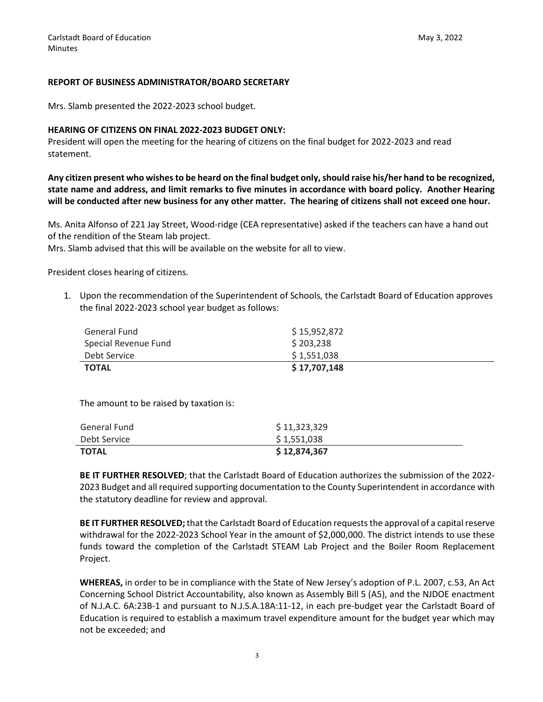#### **REPORT OF BUSINESS ADMINISTRATOR/BOARD SECRETARY**

Mrs. Slamb presented the 2022-2023 school budget.

#### **HEARING OF CITIZENS ON FINAL 2022-2023 BUDGET ONLY:**

President will open the meeting for the hearing of citizens on the final budget for 2022-2023 and read statement.

**Any citizen present who wishes to be heard on the final budget only, should raise his/her hand to be recognized, state name and address, and limit remarks to five minutes in accordance with board policy. Another Hearing will be conducted after new business for any other matter. The hearing of citizens shall not exceed one hour.**

Ms. Anita Alfonso of 221 Jay Street, Wood-ridge (CEA representative) asked if the teachers can have a hand out of the rendition of the Steam lab project.

Mrs. Slamb advised that this will be available on the website for all to view.

President closes hearing of citizens.

1. Upon the recommendation of the Superintendent of Schools, the Carlstadt Board of Education approves the final 2022-2023 school year budget as follows:

| General Fund         | \$15,952,872 |
|----------------------|--------------|
| Special Revenue Fund | \$203,238    |
| Debt Service         | \$1,551,038  |
| <b>TOTAL</b>         | \$17,707,148 |

The amount to be raised by taxation is:

| General Fund | \$11,323,329  |
|--------------|---------------|
| Debt Service | \$1,551,038   |
| <b>TOTAL</b> | \$ 12,874,367 |

**BE IT FURTHER RESOLVED**; that the Carlstadt Board of Education authorizes the submission of the 2022- 2023 Budget and all required supporting documentation to the County Superintendent in accordance with the statutory deadline for review and approval.

**BE IT FURTHER RESOLVED;**that the Carlstadt Board of Education requests the approval of a capital reserve withdrawal for the 2022-2023 School Year in the amount of \$2,000,000. The district intends to use these funds toward the completion of the Carlstadt STEAM Lab Project and the Boiler Room Replacement Project.

**WHEREAS,** in order to be in compliance with the State of New Jersey's adoption of P.L. 2007, c.53, An Act Concerning School District Accountability, also known as Assembly Bill 5 (A5), and the NJDOE enactment of N.J.A.C. 6A:23B-1 and pursuant to N.J.S.A.18A:11-12, in each pre-budget year the Carlstadt Board of Education is required to establish a maximum travel expenditure amount for the budget year which may not be exceeded; and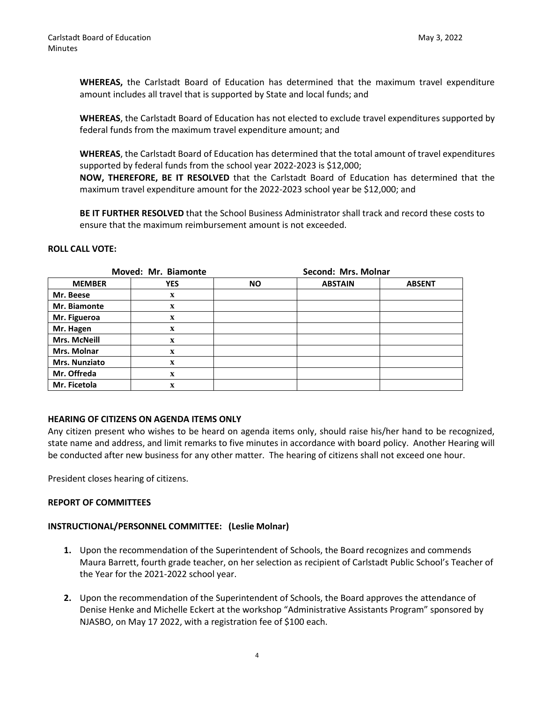**WHEREAS,** the Carlstadt Board of Education has determined that the maximum travel expenditure amount includes all travel that is supported by State and local funds; and

**WHEREAS**, the Carlstadt Board of Education has not elected to exclude travel expenditures supported by federal funds from the maximum travel expenditure amount; and

**WHEREAS**, the Carlstadt Board of Education has determined that the total amount of travel expenditures supported by federal funds from the school year 2022-2023 is \$12,000; **NOW, THEREFORE, BE IT RESOLVED** that the Carlstadt Board of Education has determined that the maximum travel expenditure amount for the 2022-2023 school year be \$12,000; and

**BE IT FURTHER RESOLVED** that the School Business Administrator shall track and record these costs to ensure that the maximum reimbursement amount is not exceeded.

# **ROLL CALL VOTE:**

| Moved: Mr. Biamonte  |             | Second: Mrs. Molnar |                |               |  |
|----------------------|-------------|---------------------|----------------|---------------|--|
| <b>MEMBER</b>        | <b>YES</b>  | <b>NO</b>           | <b>ABSTAIN</b> | <b>ABSENT</b> |  |
| Mr. Beese            | $\mathbf X$ |                     |                |               |  |
| Mr. Biamonte         | $\mathbf X$ |                     |                |               |  |
| Mr. Figueroa         | $\mathbf x$ |                     |                |               |  |
| Mr. Hagen            | $\mathbf X$ |                     |                |               |  |
| <b>Mrs. McNeill</b>  | $\mathbf X$ |                     |                |               |  |
| Mrs. Molnar          | $\mathbf X$ |                     |                |               |  |
| <b>Mrs. Nunziato</b> | $\mathbf x$ |                     |                |               |  |
| Mr. Offreda          | $\mathbf x$ |                     |                |               |  |
| Mr. Ficetola         | X           |                     |                |               |  |

#### **HEARING OF CITIZENS ON AGENDA ITEMS ONLY**

Any citizen present who wishes to be heard on agenda items only, should raise his/her hand to be recognized, state name and address, and limit remarks to five minutes in accordance with board policy. Another Hearing will be conducted after new business for any other matter. The hearing of citizens shall not exceed one hour.

President closes hearing of citizens.

#### **REPORT OF COMMITTEES**

# **INSTRUCTIONAL/PERSONNEL COMMITTEE: (Leslie Molnar)**

- **1.** Upon the recommendation of the Superintendent of Schools, the Board recognizes and commends Maura Barrett, fourth grade teacher, on her selection as recipient of Carlstadt Public School's Teacher of the Year for the 2021-2022 school year.
- **2.** Upon the recommendation of the Superintendent of Schools, the Board approves the attendance of Denise Henke and Michelle Eckert at the workshop "Administrative Assistants Program" sponsored by NJASBO, on May 17 2022, with a registration fee of \$100 each.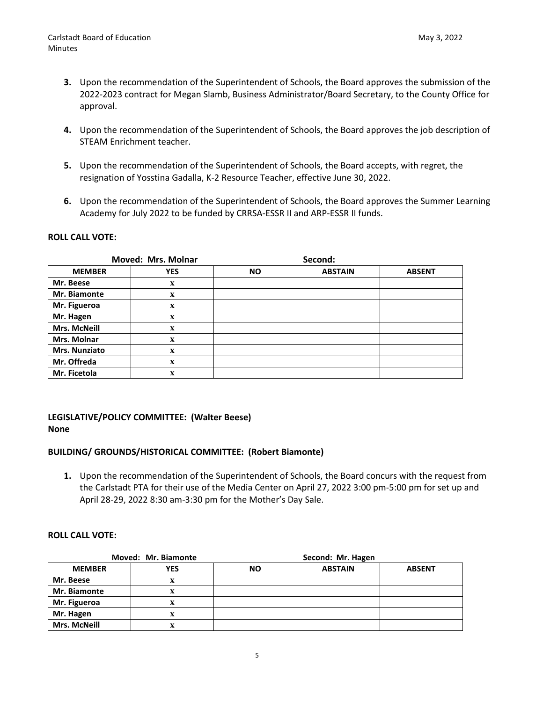- **3.** Upon the recommendation of the Superintendent of Schools, the Board approves the submission of the 2022-2023 contract for Megan Slamb, Business Administrator/Board Secretary, to the County Office for approval.
- **4.** Upon the recommendation of the Superintendent of Schools, the Board approves the job description of STEAM Enrichment teacher.
- **5.** Upon the recommendation of the Superintendent of Schools, the Board accepts, with regret, the resignation of Yosstina Gadalla, K-2 Resource Teacher, effective June 30, 2022.
- **6.** Upon the recommendation of the Superintendent of Schools, the Board approves the Summer Learning Academy for July 2022 to be funded by CRRSA-ESSR II and ARP-ESSR II funds.

# **ROLL CALL VOTE:**

| <b>Moved: Mrs. Molnar</b> |             |           | Second:        |               |  |
|---------------------------|-------------|-----------|----------------|---------------|--|
| <b>MEMBER</b>             | <b>YES</b>  | <b>NO</b> | <b>ABSTAIN</b> | <b>ABSENT</b> |  |
| Mr. Beese                 | $\mathbf X$ |           |                |               |  |
| Mr. Biamonte              | $\mathbf X$ |           |                |               |  |
| Mr. Figueroa              | $\mathbf X$ |           |                |               |  |
| Mr. Hagen                 | $\mathbf X$ |           |                |               |  |
| <b>Mrs. McNeill</b>       | $\mathbf X$ |           |                |               |  |
| Mrs. Molnar               | $\mathbf X$ |           |                |               |  |
| Mrs. Nunziato             | $\mathbf X$ |           |                |               |  |
| Mr. Offreda               | $\mathbf X$ |           |                |               |  |
| Mr. Ficetola              | $\mathbf x$ |           |                |               |  |

# **LEGISLATIVE/POLICY COMMITTEE: (Walter Beese) None**

# **BUILDING/ GROUNDS/HISTORICAL COMMITTEE: (Robert Biamonte)**

**1.** Upon the recommendation of the Superintendent of Schools, the Board concurs with the request from the Carlstadt PTA for their use of the Media Center on April 27, 2022 3:00 pm-5:00 pm for set up and April 28-29, 2022 8:30 am-3:30 pm for the Mother's Day Sale.

#### **ROLL CALL VOTE:**

| Moved: Mr. Biamonte |            | Second: Mr. Hagen |                |               |  |
|---------------------|------------|-------------------|----------------|---------------|--|
| <b>MEMBER</b>       | <b>YES</b> | <b>NO</b>         | <b>ABSTAIN</b> | <b>ABSENT</b> |  |
| Mr. Beese           | x          |                   |                |               |  |
| Mr. Biamonte        | X          |                   |                |               |  |
| Mr. Figueroa        |            |                   |                |               |  |
| Mr. Hagen           | X          |                   |                |               |  |
| <b>Mrs. McNeill</b> | X          |                   |                |               |  |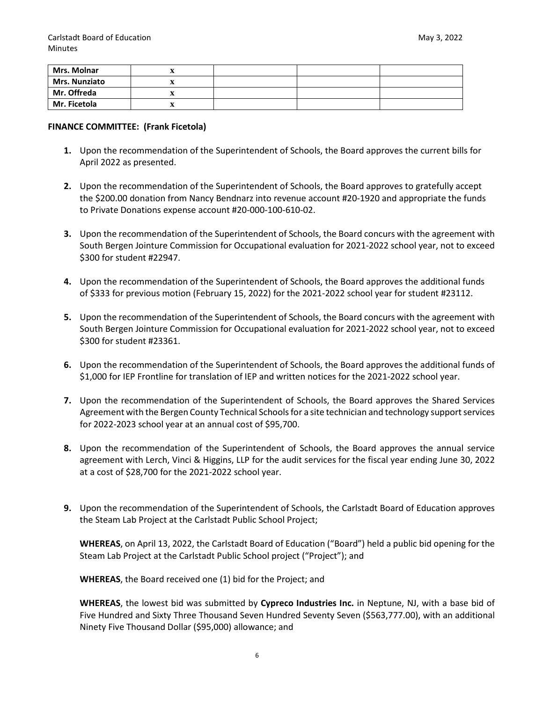| Mrs. Molnar          | ▵ |  |  |
|----------------------|---|--|--|
| <b>Mrs. Nunziato</b> | ▵ |  |  |
| Mr. Offreda          | ▵ |  |  |
| Mr. Ficetola         | ▵ |  |  |

# **FINANCE COMMITTEE: (Frank Ficetola)**

- **1.** Upon the recommendation of the Superintendent of Schools, the Board approves the current bills for April 2022 as presented.
- **2.** Upon the recommendation of the Superintendent of Schools, the Board approves to gratefully accept the \$200.00 donation from Nancy Bendnarz into revenue account #20-1920 and appropriate the funds to Private Donations expense account #20-000-100-610-02.
- **3.** Upon the recommendation of the Superintendent of Schools, the Board concurs with the agreement with South Bergen Jointure Commission for Occupational evaluation for 2021-2022 school year, not to exceed \$300 for student #22947.
- **4.** Upon the recommendation of the Superintendent of Schools, the Board approves the additional funds of \$333 for previous motion (February 15, 2022) for the 2021-2022 school year for student #23112.
- **5.** Upon the recommendation of the Superintendent of Schools, the Board concurs with the agreement with South Bergen Jointure Commission for Occupational evaluation for 2021-2022 school year, not to exceed \$300 for student #23361.
- **6.** Upon the recommendation of the Superintendent of Schools, the Board approves the additional funds of \$1,000 for IEP Frontline for translation of IEP and written notices for the 2021-2022 school year.
- **7.** Upon the recommendation of the Superintendent of Schools, the Board approves the Shared Services Agreement with the Bergen County Technical Schools for a site technician and technology support services for 2022-2023 school year at an annual cost of \$95,700.
- **8.** Upon the recommendation of the Superintendent of Schools, the Board approves the annual service agreement with Lerch, Vinci & Higgins, LLP for the audit services for the fiscal year ending June 30, 2022 at a cost of \$28,700 for the 2021-2022 school year.
- **9.** Upon the recommendation of the Superintendent of Schools, the Carlstadt Board of Education approves the Steam Lab Project at the Carlstadt Public School Project;

**WHEREAS**, on April 13, 2022, the Carlstadt Board of Education ("Board") held a public bid opening for the Steam Lab Project at the Carlstadt Public School project ("Project"); and

**WHEREAS**, the Board received one (1) bid for the Project; and

**WHEREAS**, the lowest bid was submitted by **Cypreco Industries Inc.** in Neptune, NJ, with a base bid of Five Hundred and Sixty Three Thousand Seven Hundred Seventy Seven (\$563,777.00), with an additional Ninety Five Thousand Dollar (\$95,000) allowance; and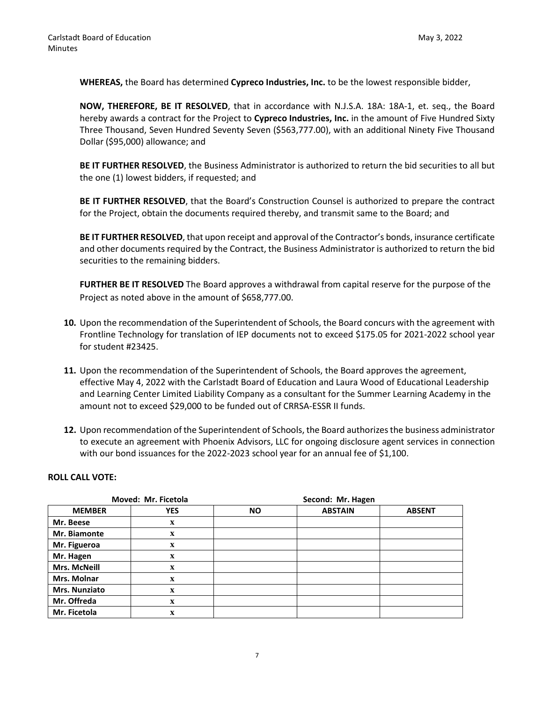**WHEREAS,** the Board has determined **Cypreco Industries, Inc.** to be the lowest responsible bidder,

**NOW, THEREFORE, BE IT RESOLVED**, that in accordance with N.J.S.A. 18A: 18A-1, et. seq., the Board hereby awards a contract for the Project to **Cypreco Industries, Inc.** in the amount of Five Hundred Sixty Three Thousand, Seven Hundred Seventy Seven (\$563,777.00), with an additional Ninety Five Thousand Dollar (\$95,000) allowance; and

**BE IT FURTHER RESOLVED**, the Business Administrator is authorized to return the bid securities to all but the one (1) lowest bidders, if requested; and

**BE IT FURTHER RESOLVED**, that the Board's Construction Counsel is authorized to prepare the contract for the Project, obtain the documents required thereby, and transmit same to the Board; and

**BE IT FURTHER RESOLVED**, that upon receipt and approval of the Contractor's bonds, insurance certificate and other documents required by the Contract, the Business Administrator is authorized to return the bid securities to the remaining bidders.

**FURTHER BE IT RESOLVED** The Board approves a withdrawal from capital reserve for the purpose of the Project as noted above in the amount of \$658,777.00.

- **10.** Upon the recommendation of the Superintendent of Schools, the Board concurs with the agreement with Frontline Technology for translation of IEP documents not to exceed \$175.05 for 2021-2022 school year for student #23425.
- **11.** Upon the recommendation of the Superintendent of Schools, the Board approves the agreement, effective May 4, 2022 with the Carlstadt Board of Education and Laura Wood of Educational Leadership and Learning Center Limited Liability Company as a consultant for the Summer Learning Academy in the amount not to exceed \$29,000 to be funded out of CRRSA-ESSR II funds.
- **12.** Upon recommendation of the Superintendent of Schools, the Board authorizes the business administrator to execute an agreement with Phoenix Advisors, LLC for ongoing disclosure agent services in connection with our bond issuances for the 2022-2023 school year for an annual fee of \$1,100.

#### **ROLL CALL VOTE:**

| Moved: Mr. Ficetola  |             |           | Second: Mr. Hagen |               |  |  |
|----------------------|-------------|-----------|-------------------|---------------|--|--|
| <b>MEMBER</b>        | <b>YES</b>  | <b>NO</b> | <b>ABSTAIN</b>    | <b>ABSENT</b> |  |  |
| Mr. Beese            | $\mathbf X$ |           |                   |               |  |  |
| Mr. Biamonte         | $\mathbf X$ |           |                   |               |  |  |
| Mr. Figueroa         | $\mathbf X$ |           |                   |               |  |  |
| Mr. Hagen            | $\mathbf X$ |           |                   |               |  |  |
| <b>Mrs. McNeill</b>  | $\mathbf X$ |           |                   |               |  |  |
| Mrs. Molnar          | $\mathbf X$ |           |                   |               |  |  |
| <b>Mrs. Nunziato</b> | $\mathbf X$ |           |                   |               |  |  |
| Mr. Offreda          | $\mathbf X$ |           |                   |               |  |  |
| Mr. Ficetola         | $\mathbf x$ |           |                   |               |  |  |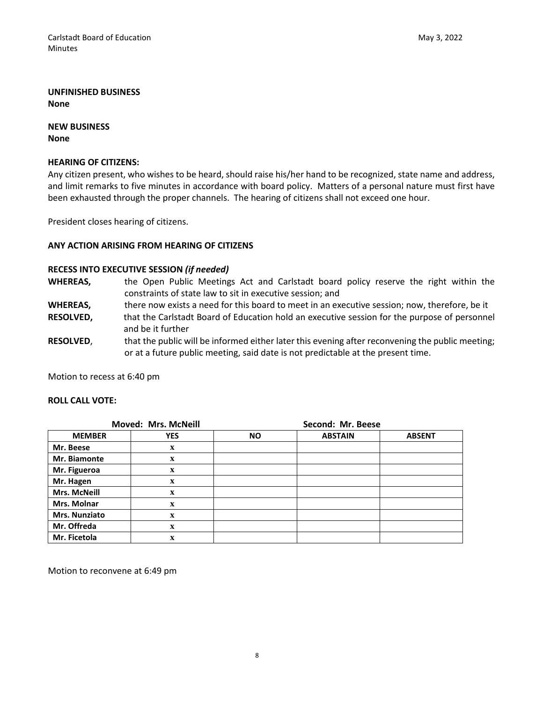# **UNFINISHED BUSINESS None**

# **NEW BUSINESS**

**None**

# **HEARING OF CITIZENS:**

Any citizen present, who wishes to be heard, should raise his/her hand to be recognized, state name and address, and limit remarks to five minutes in accordance with board policy. Matters of a personal nature must first have been exhausted through the proper channels. The hearing of citizens shall not exceed one hour.

President closes hearing of citizens.

# **ANY ACTION ARISING FROM HEARING OF CITIZENS**

# **RECESS INTO EXECUTIVE SESSION** *(if needed)*

- **WHEREAS,** the Open Public Meetings Act and Carlstadt board policy reserve the right within the constraints of state law to sit in executive session; and
- WHEREAS, there now exists a need for this board to meet in an executive session; now, therefore, be it
- **RESOLVED,** that the Carlstadt Board of Education hold an executive session for the purpose of personnel and be it further
- **RESOLVED**, that the public will be informed either later this evening after reconvening the public meeting; or at a future public meeting, said date is not predictable at the present time.

Motion to recess at 6:40 pm

#### **ROLL CALL VOTE:**

| <b>Moved: Mrs. McNeill</b> |             | Second: Mr. Beese |                |               |  |
|----------------------------|-------------|-------------------|----------------|---------------|--|
| <b>MEMBER</b>              | <b>YES</b>  | <b>NO</b>         | <b>ABSTAIN</b> | <b>ABSENT</b> |  |
| Mr. Beese                  | X           |                   |                |               |  |
| Mr. Biamonte               | $\mathbf x$ |                   |                |               |  |
| Mr. Figueroa               | X           |                   |                |               |  |
| Mr. Hagen                  | $\mathbf x$ |                   |                |               |  |
| <b>Mrs. McNeill</b>        | $\mathbf x$ |                   |                |               |  |
| Mrs. Molnar                | $\mathbf x$ |                   |                |               |  |
| <b>Mrs. Nunziato</b>       | $\mathbf x$ |                   |                |               |  |
| Mr. Offreda                | $\mathbf x$ |                   |                |               |  |
| Mr. Ficetola               | $\mathbf x$ |                   |                |               |  |

Motion to reconvene at 6:49 pm